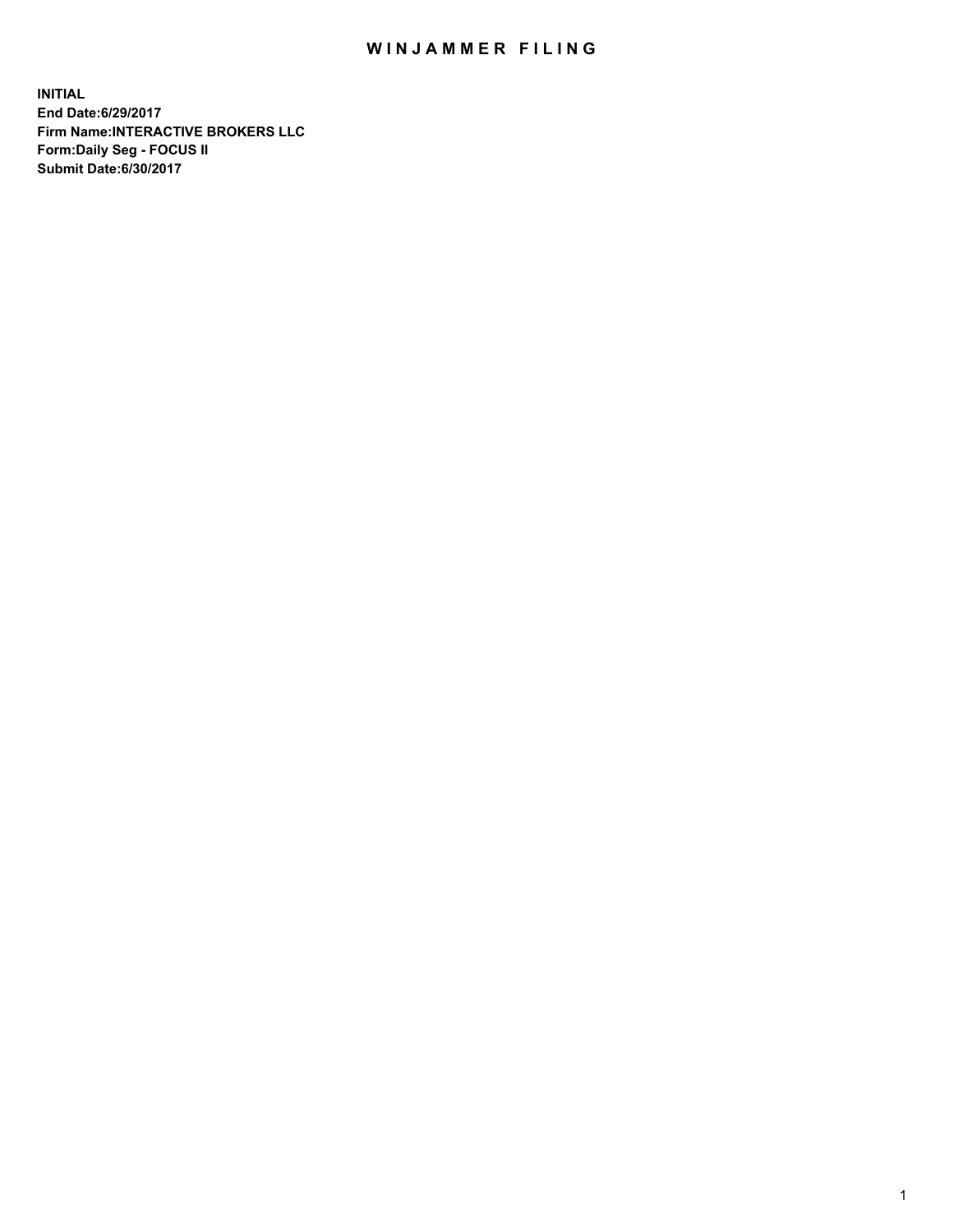## WIN JAMMER FILING

**INITIAL End Date:6/29/2017 Firm Name:INTERACTIVE BROKERS LLC Form:Daily Seg - FOCUS II Submit Date:6/30/2017**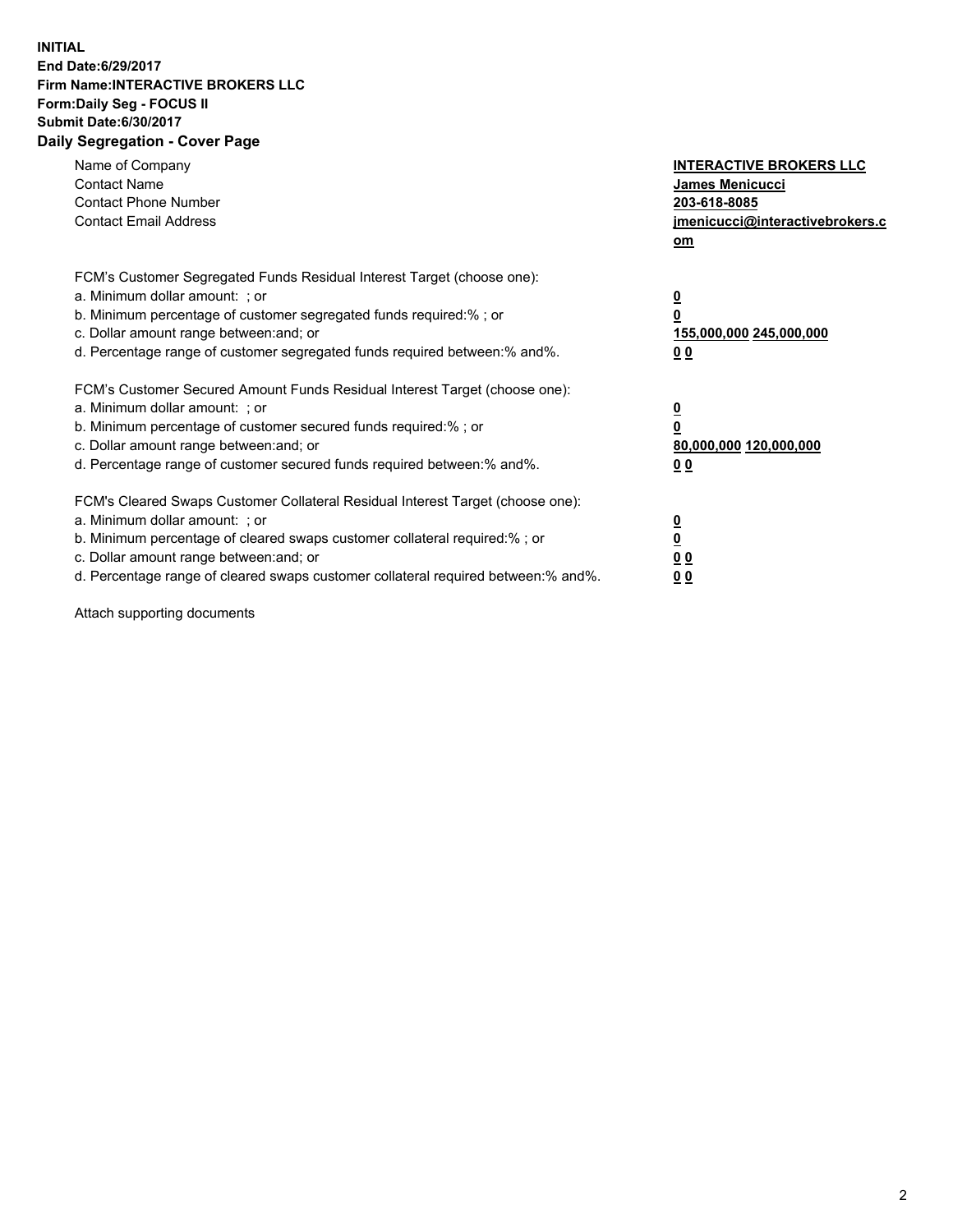## **INITIAL End Date:6/29/2017 Firm Name:INTERACTIVE BROKERS LLC Form:Daily Seg - FOCUS II Submit Date:6/30/2017 Daily Segregation - Cover Page**

| Name of Company<br><b>Contact Name</b><br><b>Contact Phone Number</b><br><b>Contact Email Address</b>                                                                                                                                                                                                                          | <b>INTERACTIVE BROKERS LLC</b><br><b>James Menicucci</b><br>203-618-8085<br>jmenicucci@interactivebrokers.c<br>om |
|--------------------------------------------------------------------------------------------------------------------------------------------------------------------------------------------------------------------------------------------------------------------------------------------------------------------------------|-------------------------------------------------------------------------------------------------------------------|
| FCM's Customer Segregated Funds Residual Interest Target (choose one):<br>a. Minimum dollar amount: ; or<br>b. Minimum percentage of customer segregated funds required:%; or<br>c. Dollar amount range between: and; or<br>d. Percentage range of customer segregated funds required between:% and%.                          | $\overline{\mathbf{0}}$<br>0<br>155,000,000 245,000,000<br>0 <sub>0</sub>                                         |
| FCM's Customer Secured Amount Funds Residual Interest Target (choose one):<br>a. Minimum dollar amount: ; or<br>b. Minimum percentage of customer secured funds required:%; or<br>c. Dollar amount range between: and; or<br>d. Percentage range of customer secured funds required between: % and %.                          | $\overline{\mathbf{0}}$<br>0<br>80,000,000 120,000,000<br>00                                                      |
| FCM's Cleared Swaps Customer Collateral Residual Interest Target (choose one):<br>a. Minimum dollar amount: ; or<br>b. Minimum percentage of cleared swaps customer collateral required:% ; or<br>c. Dollar amount range between: and; or<br>d. Percentage range of cleared swaps customer collateral required between:% and%. | $\overline{\mathbf{0}}$<br>$\overline{\mathbf{0}}$<br>0 <sub>0</sub><br><u>00</u>                                 |

Attach supporting documents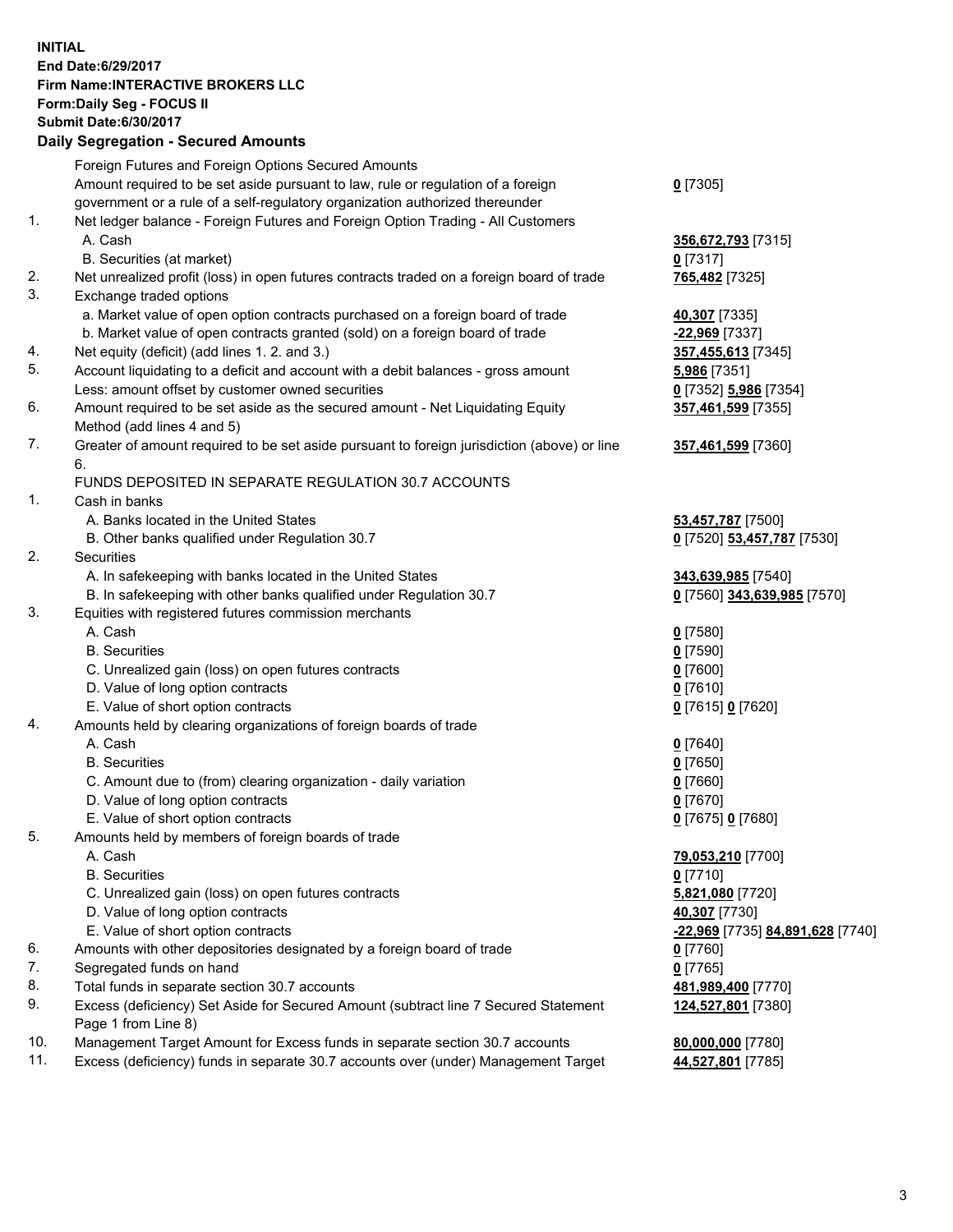## **INITIAL End Date:6/29/2017 Firm Name:INTERACTIVE BROKERS LLC Form:Daily Seg - FOCUS II Submit Date:6/30/2017 Daily Segregation - Secured Amounts**

|     | Foreign Futures and Foreign Options Secured Amounts                                         |                                  |
|-----|---------------------------------------------------------------------------------------------|----------------------------------|
|     | Amount required to be set aside pursuant to law, rule or regulation of a foreign            | $0$ [7305]                       |
|     | government or a rule of a self-regulatory organization authorized thereunder                |                                  |
| 1.  | Net ledger balance - Foreign Futures and Foreign Option Trading - All Customers             |                                  |
|     | A. Cash                                                                                     | 356,672,793 [7315]               |
|     | B. Securities (at market)                                                                   | $0$ [7317]                       |
| 2.  | Net unrealized profit (loss) in open futures contracts traded on a foreign board of trade   | 765,482 [7325]                   |
| 3.  | Exchange traded options                                                                     |                                  |
|     | a. Market value of open option contracts purchased on a foreign board of trade              | 40,307 [7335]                    |
|     | b. Market value of open contracts granted (sold) on a foreign board of trade                | -22,969 [7337]                   |
| 4.  | Net equity (deficit) (add lines 1.2. and 3.)                                                | 357,455,613 [7345]               |
| 5.  | Account liquidating to a deficit and account with a debit balances - gross amount           | 5,986 [7351]                     |
|     | Less: amount offset by customer owned securities                                            | 0 [7352] 5,986 [7354]            |
| 6.  | Amount required to be set aside as the secured amount - Net Liquidating Equity              | 357,461,599 [7355]               |
|     | Method (add lines 4 and 5)                                                                  |                                  |
| 7.  | Greater of amount required to be set aside pursuant to foreign jurisdiction (above) or line | 357,461,599 [7360]               |
|     | 6.                                                                                          |                                  |
|     | FUNDS DEPOSITED IN SEPARATE REGULATION 30.7 ACCOUNTS                                        |                                  |
| 1.  | Cash in banks                                                                               |                                  |
|     | A. Banks located in the United States                                                       | 53,457,787 [7500]                |
|     | B. Other banks qualified under Regulation 30.7                                              | 0 [7520] 53,457,787 [7530]       |
| 2.  | Securities                                                                                  |                                  |
|     | A. In safekeeping with banks located in the United States                                   | 343,639,985 [7540]               |
|     | B. In safekeeping with other banks qualified under Regulation 30.7                          | 0 [7560] 343,639,985 [7570]      |
| 3.  | Equities with registered futures commission merchants                                       |                                  |
|     | A. Cash                                                                                     | $0$ [7580]                       |
|     | <b>B.</b> Securities                                                                        | $0$ [7590]                       |
|     | C. Unrealized gain (loss) on open futures contracts                                         | $0$ [7600]                       |
|     | D. Value of long option contracts                                                           | $0$ [7610]                       |
|     | E. Value of short option contracts                                                          | 0 [7615] 0 [7620]                |
| 4.  | Amounts held by clearing organizations of foreign boards of trade                           |                                  |
|     | A. Cash                                                                                     | $0$ [7640]                       |
|     | <b>B.</b> Securities                                                                        | $0$ [7650]                       |
|     | C. Amount due to (from) clearing organization - daily variation                             | $0$ [7660]                       |
|     | D. Value of long option contracts                                                           | $0$ [7670]                       |
|     | E. Value of short option contracts                                                          | 0 [7675] 0 [7680]                |
| 5.  | Amounts held by members of foreign boards of trade                                          |                                  |
|     | A. Cash                                                                                     | 79,053,210 [7700]                |
|     | <b>B.</b> Securities                                                                        | $0$ [7710]                       |
|     | C. Unrealized gain (loss) on open futures contracts                                         | 5,821,080 [7720]                 |
|     | D. Value of long option contracts                                                           | 40,307 [7730]                    |
|     | E. Value of short option contracts                                                          | -22,969 [7735] 84,891,628 [7740] |
| 6.  | Amounts with other depositories designated by a foreign board of trade                      | 0 [7760]                         |
| 7.  | Segregated funds on hand                                                                    | $0$ [7765]                       |
| 8.  | Total funds in separate section 30.7 accounts                                               | 481,989,400 [7770]               |
| 9.  | Excess (deficiency) Set Aside for Secured Amount (subtract line 7 Secured Statement         | 124,527,801 [7380]               |
|     | Page 1 from Line 8)                                                                         |                                  |
| 10. | Management Target Amount for Excess funds in separate section 30.7 accounts                 | 80,000,000 [7780]                |
| 11. | Excess (deficiency) funds in separate 30.7 accounts over (under) Management Target          | 44,527,801 [7785]                |
|     |                                                                                             |                                  |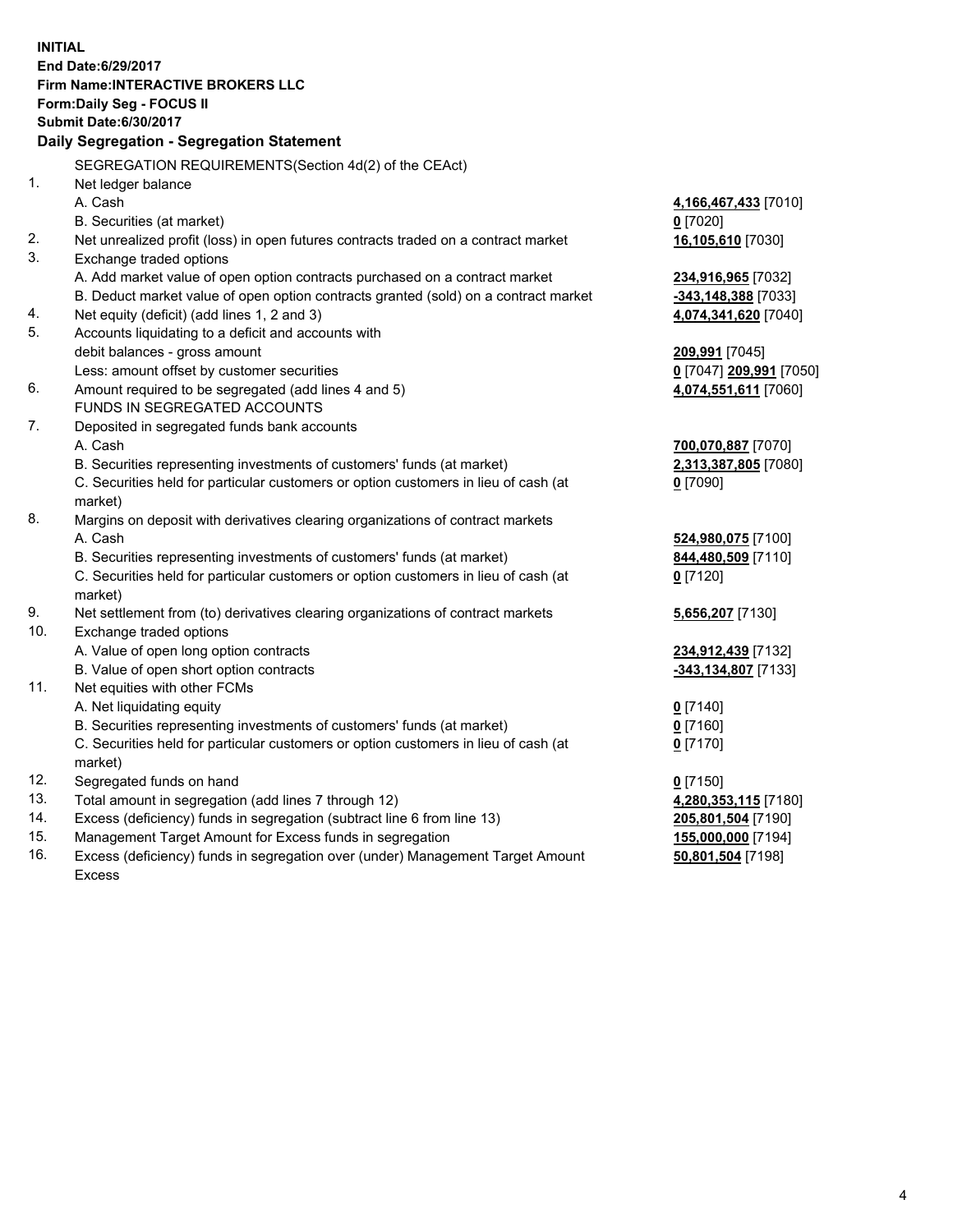**INITIAL End Date:6/29/2017 Firm Name:INTERACTIVE BROKERS LLC Form:Daily Seg - FOCUS II Submit Date:6/30/2017 Daily Segregation - Segregation Statement** SEGREGATION REQUIREMENTS(Section 4d(2) of the CEAct) 1. Net ledger balance A. Cash **4,166,467,433** [7010] B. Securities (at market) **0** [7020] 2. Net unrealized profit (loss) in open futures contracts traded on a contract market **16,105,610** [7030] 3. Exchange traded options A. Add market value of open option contracts purchased on a contract market **234,916,965** [7032] B. Deduct market value of open option contracts granted (sold) on a contract market **-343,148,388** [7033] 4. Net equity (deficit) (add lines 1, 2 and 3) **4,074,341,620** [7040] 5. Accounts liquidating to a deficit and accounts with debit balances - gross amount **209,991** [7045] Less: amount offset by customer securities **0** [7047] **209,991** [7050] 6. Amount required to be segregated (add lines 4 and 5) **4,074,551,611** [7060] FUNDS IN SEGREGATED ACCOUNTS 7. Deposited in segregated funds bank accounts A. Cash **700,070,887** [7070] B. Securities representing investments of customers' funds (at market) **2,313,387,805** [7080] C. Securities held for particular customers or option customers in lieu of cash (at market) **0** [7090] 8. Margins on deposit with derivatives clearing organizations of contract markets A. Cash **524,980,075** [7100] B. Securities representing investments of customers' funds (at market) **844,480,509** [7110] C. Securities held for particular customers or option customers in lieu of cash (at market) **0** [7120] 9. Net settlement from (to) derivatives clearing organizations of contract markets **5,656,207** [7130] 10. Exchange traded options A. Value of open long option contracts **234,912,439** [7132] B. Value of open short option contracts **-343,134,807** [7133] 11. Net equities with other FCMs A. Net liquidating equity **0** [7140] B. Securities representing investments of customers' funds (at market) **0** [7160] C. Securities held for particular customers or option customers in lieu of cash (at market) **0** [7170] 12. Segregated funds on hand **0** [7150] 13. Total amount in segregation (add lines 7 through 12) **4,280,353,115** [7180] 14. Excess (deficiency) funds in segregation (subtract line 6 from line 13) **205,801,504** [7190] 15. Management Target Amount for Excess funds in segregation **155,000,000** [7194]

16. Excess (deficiency) funds in segregation over (under) Management Target Amount Excess

**50,801,504** [7198]